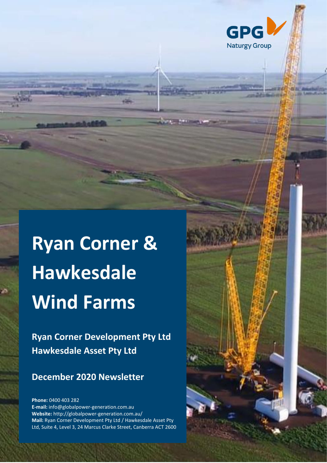

# **Ryan Corner & Hawkesdale Wind Farms**

**Ryan Corner Development Pty Ltd Hawkesdale Asset Pty Ltd**

# **December 2020 Newsletter**

**1**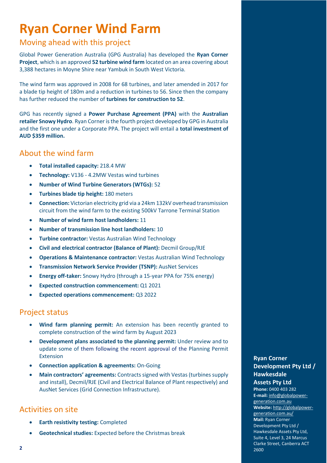# **Ryan Corner Wind Farm**

# Moving ahead with this project

Global Power Generation Australia (GPG Australia) has developed the **Ryan Corner Project**, which is an approved **52 turbine wind farm** located on an area covering about 3,388 hectares in Moyne Shire near Yambuk in South West Victoria.

The wind farm was approved in 2008 for 68 turbines, and later amended in 2017 for a blade tip height of 180m and a reduction in turbines to 56. Since then the company has further reduced the number of **turbines for construction to 52**.

GPG has recently signed a **Power Purchase Agreement (PPA)** with the **Australian retailer Snowy Hydro**. Ryan Corner is the fourth project developed by GPG in Australia and the first one under a Corporate PPA. The project will entail a **total investment of AUD \$359 million.**

### About the wind farm

- **Total installed capacity:** 218.4 MW
- **Technology:** V136 4.2MW Vestas wind turbines
- **Number of Wind Turbine Generators (WTGs):** 52
- **Turbines blade tip height:** 180 meters
- **Connection:** Victorian electricity grid via a 24km 132kV overhead transmission circuit from the wind farm to the existing 500kV Tarrone Terminal Station
- **Number of wind farm host landholders:** 11
- **Number of transmission line host landholders:** 10
- **Turbine contractor:** Vestas Australian Wind Technology
- **Civil and electrical contractor (Balance of Plant):** Decmil Group/RJE
- **Operations & Maintenance contractor:** Vestas Australian Wind Technology
- **Transmission Network Service Provider (TSNP):** AusNet Services
- **Energy off-taker:** Snowy Hydro (through a 15-year PPA for 75% energy)
- **Expected construction commencement:** Q1 2021
- **Expected operations commencement:** Q3 2022

### Project status

- **Wind farm planning permit:** An extension has been recently granted to complete construction of the wind farm by August 2023
- **Development plans associated to the planning permit:** Under review and to update some of them following the recent approval of the Planning Permit Extension
- **Connection application & agreements:** On-Going
- **Main contractors' agreements:** Contracts signed with Vestas (turbines supply and install), Decmil/RJE (Civil and Electrical Balance of Plant respectively) and AusNet Services (Grid Connection Infrastructure).

# Activities on site

- **Earth resistivity testing:** Completed
- **Geotechnical studies:** Expected before the Christmas break

#### **Ryan Corner Development Pty Ltd / Hawkesdale Assets Pty Ltd**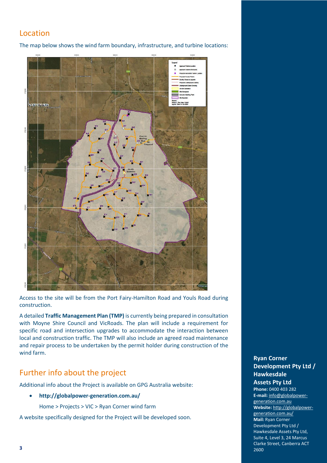# Location

The map below shows the wind farm boundary, infrastructure, and turbine locations:



Access to the site will be from the Port Fairy-Hamilton Road and Youls Road during construction.

A detailed **Traffic Management Plan (TMP)** is currently being prepared in consultation with Moyne Shire Council and VicRoads. The plan will include a requirement for specific road and intersection upgrades to accommodate the interaction between local and construction traffic. The TMP will also include an agreed road maintenance and repair process to be undertaken by the permit holder during construction of the wind farm.

# Further info about the project

Additional info about the Project is available on GPG Australia website:

• **http://globalpower-generation.com.au/**

Home > Projects > VIC > Ryan Corner wind farm

A website specifically designed for the Project will be developed soon.

#### **Ryan Corner Ryan Corner Development Pty Ltd / Development Pty Ltd/ Hawkesdale Hawkesdale Assets Pty Ltd Pty Ltd**

**Phone:** 0400 403 282 Phone: 0400 403 282<br>**E-mail**: **info@globalpower**[generation.com.au](mailto:info@globalpower-generation.com.au) generation.com.au **Website:** [http://globalpower-](http://globalpower-generation.com.au/)**Website:** http://globalpower[generation.com.au/](http://globalpower-generation.com.au/) generation.com.au/ **Mail:** Ryan Corner **Mail:** Ryan Corner Development Pty Ltd / Development Pty Ltd/ Hawkesdale Assets Pty Ltd, Hawkesdale Assets Pty Ltd,<br>Suite 4, Level 3, 24 Marcus Clarke Street, Canberra ACT Street, Canberra ACT 2600 2600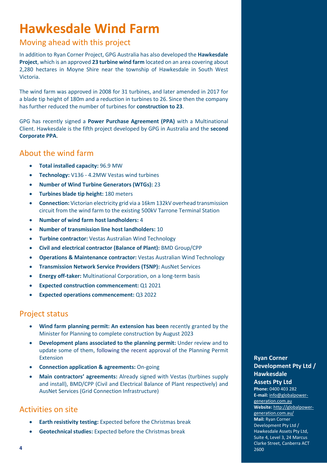# **Hawkesdale Wind Farm**

# Moving ahead with this project

In addition to Ryan Corner Project, GPG Australia has also developed the **Hawkesdale Project**, which is an approved **23 turbine wind farm** located on an area covering about 2,280 hectares in Moyne Shire near the township of Hawkesdale in South West Victoria.

The wind farm was approved in 2008 for 31 turbines, and later amended in 2017 for a blade tip height of 180m and a reduction in turbines to 26. Since then the company has further reduced the number of turbines for **construction to 23**.

GPG has recently signed a **Power Purchase Agreement (PPA)** with a Multinational Client. Hawkesdale is the fifth project developed by GPG in Australia and the **second Corporate PPA**.

# About the wind farm

- **Total installed capacity:** 96.9 MW
- **Technology:** V136 4.2MW Vestas wind turbines
- **Number of Wind Turbine Generators (WTGs):** 23
- **Turbines blade tip height:** 180 meters
- **Connection:** Victorian electricity grid via a 16km 132kV overhead transmission circuit from the wind farm to the existing 500kV Tarrone Terminal Station
- **Number of wind farm host landholders:** 4
- **Number of transmission line host landholders:** 10
- **Turbine contractor:** Vestas Australian Wind Technology
- **Civil and electrical contractor (Balance of Plant):** BMD Group/CPP
- **Operations & Maintenance contractor:** Vestas Australian Wind Technology
- **Transmission Network Service Providers (TSNP):** AusNet Services
- **Energy off-taker:** Multinational Corporation, on a long-term basis
- **Expected construction commencement:** Q1 2021
- **Expected operations commencement:** Q3 2022

### Project status

- **Wind farm planning permit: An extension has been** recently granted by the Minister for Planning to complete construction by August 2023
- **Development plans associated to the planning permit:** Under review and to update some of them, following the recent approval of the Planning Permit Extension
- **Connection application & agreements:** On-going
- **Main contractors' agreements:** Already signed with Vestas (turbines supply and install), BMD/CPP (Civil and Electrical Balance of Plant respectively) and AusNet Services (Grid Connection Infrastructure)

# Activities on site

- **Earth resistivity testing:** Expected before the Christmas break
- **Geotechnical studies:** Expected before the Christmas break

#### **Ryan Corner Ryan Corner Development Pty Ltd / Development Pty Ltd/ Hawkesdale Assets Pty Ltd Pty Ltd**

#### **Phone:** 0400 403 282 Phone: 0400 403 282<br>**E-mail**: **[info@globalpower](mailto:info@globalpower-generation.com.au)**[generation.com.au](mailto:info@globalpower-generation.com.au) generation.com.au **Website:** [http://globalpower-](http://globalpower-generation.com.au/)**Website:** http://globalpower[generation.com.au/](http://globalpower-generation.com.au/) generation.com.au/ **Mail:** Ryan Corner **Mail:** Ryan Corner Development Pty Ltd / Development Pty Ltd/ Hawkesdale Assets Pty Ltd, Assets Pty Ltd, Suite 4, Level 3, 24 Marcus Suite 4, Level 3, 24 Marcus Clarke Street, Canberra ACT 2600 2600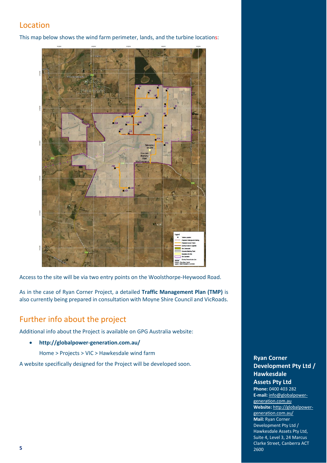# Location

This map below shows the wind farm perimeter, lands, and the turbine locations:



Access to the site will be via two entry points on the Woolsthorpe-Heywood Road.

As in the case of Ryan Corner Project, a detailed **Traffic Management Plan (TMP)** is also currently being prepared in consultation with Moyne Shire Council and VicRoads.

# Further info about the project

Additional info about the Project is available on GPG Australia website:

• **http://globalpower-generation.com.au/**

Home > Projects > VIC > Hawkesdale wind farm

A website specifically designed for the Project will be developed soon.

#### **Ryan Corner Development Pty Ltd / Hawkesdale Assets Pty Ltd**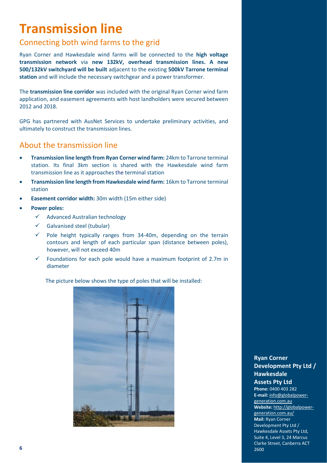# **Transmission line**

# Connecting both wind farms to the grid

Ryan Corner and Hawkesdale wind farms will be connected to the **high voltage transmission network** via **new 132kV, overhead transmission lines. A new 500/132kV switchyard will be built** adjacent to the existing **500kV Tarrone terminal station** and will include the necessary switchgear and a power transformer.

The **transmission line corridor** was included with the original Ryan Corner wind farm application, and easement agreements with host landholders were secured between 2012 and 2018.

GPG has partnered with AusNet Services to undertake preliminary activities, and ultimately to construct the transmission lines.

# About the transmission line

- **Transmission line length from Ryan Corner wind farm:** 24km to Tarrone terminal station. Its final 3km section is shared with the Hawkesdale wind farm transmission line as it approaches the terminal station
- **Transmission line length from Hawkesdale wind farm:** 16km to Tarrone terminal station
- **Easement corridor width:** 30m width (15m either side)
- **Power poles:** 
	- ✓ Advanced Australian technology
	- ✓ Galvanised steel (tubular)
	- $\checkmark$  Pole height typically ranges from 34-40m, depending on the terrain contours and length of each particular span (distance between poles), however, will not exceed 40m
	- $\checkmark$  Foundations for each pole would have a maximum footprint of 2.7m in diameter

The picture below shows the type of poles that will be installed:



#### **Ryan Corner Development Pty Ltd / Hawkesdale Assets Pty Ltd**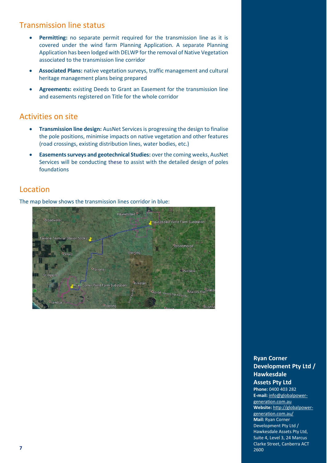# Transmission line status

- **Permitting:** no separate permit required for the transmission line as it is covered under the wind farm Planning Application. A separate Planning Application has been lodged with DELWP for the removal of Native Vegetation associated to the transmission line corridor
- **Associated Plans:** native vegetation surveys, traffic management and cultural heritage management plans being prepared
- **Agreements:** existing Deeds to Grant an Easement for the transmission line and easements registered on Title for the whole corridor

# Activities on site

- **Transmission line design:** AusNet Services is progressing the design to finalise the pole positions, minimise impacts on native vegetation and other features (road crossings, existing distribution lines, water bodies, etc.)
- **Easements surveys and geotechnical Studies:** over the coming weeks, AusNet Services will be conducting these to assist with the detailed design of poles foundations

# Location

The map below shows the transmission lines corridor in blue:



#### **Ryan Corner Development Pty Ltd / Hawkesdale**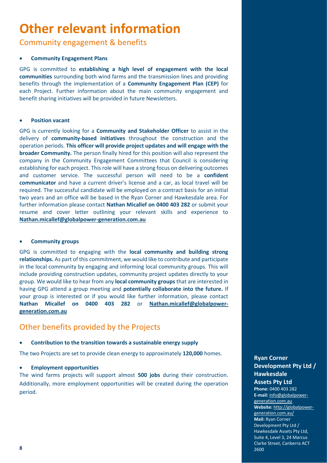# **Other relevant information**

Community engagement & benefits

#### • **Community Engagement Plans**

GPG is committed to **establishing a high level of engagement with the local communities** surrounding both wind farms and the transmission lines and providing benefits through the implementation of a **Community Engagement Plan (CEP)** for each Project. Further information about the main community engagement and benefit sharing initiatives will be provided in future Newsletters.

#### • **Position vacant**

GPG is currently looking for a **Community and Stakeholder Officer** to assist in the delivery of **community-based initiatives** throughout the construction and the operation periods. **This officer will provide project updates and will engage with the broader Community.** The person finally hired for this position will also represent the company in the Community Engagement Committees that Council is considering establishing for each project. This role will have a strong focus on delivering outcomes and customer service. The successful person will need to be a **confident communicator** and have a current driver's license and a car, as local travel will be required. The successful candidate will be employed on a contract basis for an initial two years and an office will be based in the Ryan Corner and Hawkesdale area. For further information please contact **Nathan Micallef on 0400 403 282** or submit your resume and cover letter outlining your relevant skills and experience to **[Nathan.micallef@globalpower-generation.com.au](mailto:Nathan.micallef@globalpower-generation.com.au)**

#### • **Community groups**

GPG is committed to engaging with the **local community and building strong relationships.** As part of this commitment, we would like to contribute and participate in the local community by engaging and informing local community groups. This will include providing construction updates, community project updates directly to your group. We would like to hear from any **local community groups** that are interested in having GPG attend a group meeting and **potentially collaborate into the future.** If your group is interested or if you would like further information, please contact **Nathan Micallef on 0400 403 282** or **[Nathan.micallef@globalpower](mailto:Nathan.micallef@globalpower-generation.com.au)[generation.com.au](mailto:Nathan.micallef@globalpower-generation.com.au)**

### Other benefits provided by the Projects

#### • **Contribution to the transition towards a sustainable energy supply**

The two Projects are set to provide clean energy to approximately **120,000** homes.

#### • **Employment opportunities**

The wind farms projects will support almost **500 jobs** during their construction. Additionally, more employment opportunities will be created during the operation period.

#### **Ryan Corner Development Pty Ltd / Hawkesdale Assets Pty Ltd**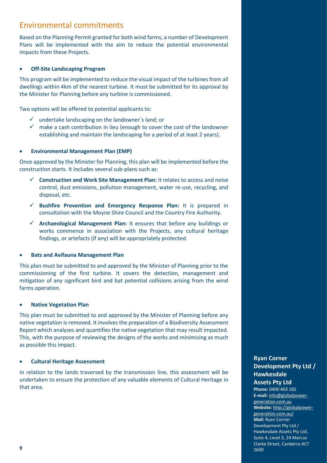# Environmental commitments

Based on the Planning Permit granted for both wind farms, a number of Development Plans will be implemented with the aim to reduce the potential environmental impacts from these Projects.

#### • **Off-Site Landscaping Program**

This program will be implemented to reduce the visual impact of the turbines from all dwellings within 4km of the nearest turbine. It must be submitted for its approval by the Minister for Planning before any turbine is commissioned.

Two options will be offered to potential applicants to:

- $\checkmark$  undertake landscaping on the landowner's land; or
- $\checkmark$  make a cash contribution in lieu (enough to cover the cost of the landowner establishing and maintain the landscaping for a period of at least 2 years).

#### • **Environmental Management Plan (EMP)**

Once approved by the Minister for Planning, this plan will be implemented before the construction starts. It includes several sub-plans such as:

- ✓ **Construction and Work Site Management Plan:** It relates to access and noise control, dust emissions, pollution management, water re-use, recycling, and disposal, etc.
- ✓ **Bushfire Prevention and Emergency Response Plan:** It is prepared in consultation with the Moyne Shire Council and the Country Fire Authority.
- ✓ **Archaeological Management Plan:** It ensures that before any buildings or works commence in association with the Projects, any cultural heritage findings, or artefacts (if any) will be appropriately protected.

#### • **Bats and Avifauna Management Plan**

This plan must be submitted to and approved by the Minister of Planning prior to the commissioning of the first turbine. It covers the detection, management and mitigation of any significant bird and bat potential collisions arising from the wind farms operation.

#### • **Native Vegetation Plan**

This plan must be submitted to and approved by the Minister of Planning before any native vegetation is removed. It involves the preparation of a Biodiversity Assessment Report which analyses and quantifies the native vegetation that may result impacted. This, with the purpose of reviewing the designs of the works and minimising as much as possible this impact.

#### • **Cultural Heritage Assessment**

In relation to the lands traversed by the transmission line, this assessment will be undertaken to ensure the protection of any valuable elements of Cultural Heritage in that area.

#### **Ryan Corner Development Pty Ltd / Hawkesdale Assets Pty Ltd**